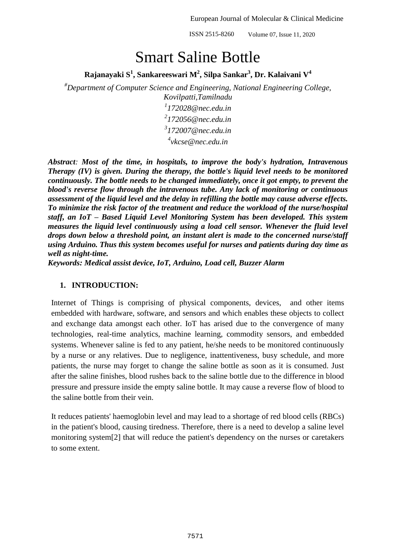# Smart Saline Bottle

**Rajanayaki S 1 , Sankareeswari M<sup>2</sup> , Silpa Sankar<sup>3</sup> , Dr. Kalaivani V 4**

*#Department of Computer Science and Engineering, National Engineering College, Kovilpatti,Tamilnadu*

 *172028@nec.edu.in 172056@nec.edu.in 172007@nec.edu.in vkcse@nec.edu.in*

*Abstract: Most of the time, in hospitals, to improve the body's hydration, Intravenous Therapy (IV) is given. During the therapy, the bottle's liquid level needs to be monitored continuously. The bottle needs to be changed immediately, once it got empty, to prevent the blood's reverse flow through the intravenous tube. Any lack of monitoring or continuous assessment of the liquid level and the delay in refilling the bottle may cause adverse effects. To minimize the risk factor of the treatment and reduce the workload of the nurse/hospital staff, an IoT – Based Liquid Level Monitoring System has been developed. This system measures the liquid level continuously using a load cell sensor. Whenever the fluid level drops down below a threshold point, an instant alert is made to the concerned nurse/staff using Arduino. Thus this system becomes useful for nurses and patients during day time as well as night-time.*

*Keywords: Medical assist device, IoT, Arduino, Load cell, Buzzer Alarm*

# **1. INTRODUCTION:**

Internet of Things is comprising of physical components, devices, and other items embedded with hardware, software, and sensors and which enables these objects to collect and exchange data amongst each other. IoT has arised due to the convergence of many technologies, real-time analytics, machine learning, commodity sensors, and embedded systems. Whenever saline is fed to any patient, he/she needs to be monitored continuously by a nurse or any relatives. Due to negligence, inattentiveness, busy schedule, and more patients, the nurse may forget to change the saline bottle as soon as it is consumed. Just after the saline finishes, blood rushes back to the saline bottle due to the difference in blood pressure and pressure inside the empty saline bottle. It may cause a reverse flow of blood to the saline bottle from their vein.

It reduces patients' haemoglobin level and may lead to a shortage of red blood cells (RBCs) in the patient's blood, causing tiredness. Therefore, there is a need to develop a saline level monitoring system[2] that will reduce the patient's dependency on the nurses or caretakers to some extent.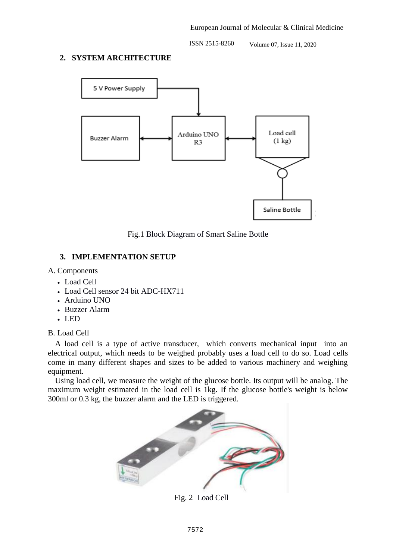#### **2. SYSTEM ARCHITECTURE**



Fig.1 Block Diagram of Smart Saline Bottle

# **3. IMPLEMENTATION SETUP**

#### A. Components

- Load Cell
- Load Cell sensor 24 bit ADC-HX711
- Arduino UNO
- Buzzer Alarm
- LED

B. Load Cell

A load cell is a type of active transducer, which converts mechanical input into an electrical output, which needs to be weighed probably uses a load cell to do so. Load cells come in many different shapes and sizes to be added to various machinery and weighing equipment.

Using load cell, we measure the weight of the glucose bottle. Its output will be analog. The maximum weight estimated in the load cell is 1kg. If the glucose bottle's weight is below 300ml or 0.3 kg, the buzzer alarm and the LED is triggered.



Fig. 2 Load Cell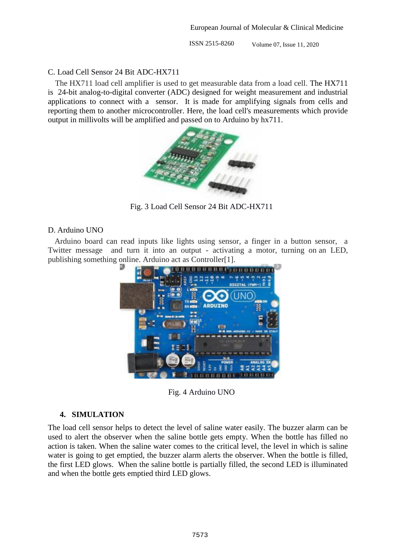#### C. Load Cell Sensor 24 Bit ADC-HX711

The HX711 load cell amplifier is used to get measurable data from a load cell. The HX711 is 24-bit analog-to-digital converter (ADC) designed for weight measurement and industrial applications to connect with a sensor. It is made for amplifying signals from cells and reporting them to another microcontroller. Here, the load cell's measurements which provide output in millivolts will be amplified and passed on to Arduino by hx711.



Fig. 3 Load Cell Sensor 24 Bit ADC-HX711

#### D. Arduino UNO

Arduino board can read inputs like lights using sensor, a finger in a button sensor, a Twitter message and turn it into an output - activating a motor, turning on an LED, publishing something online. Arduino act as Controller[1].



Fig. 4 Arduino UNO

# **4. SIMULATION**

The load cell sensor helps to detect the level of saline water easily. The buzzer alarm can be used to alert the observer when the saline bottle gets empty. When the bottle has filled no action is taken. When the saline water comes to the critical level, the level in which is saline water is going to get emptied, the buzzer alarm alerts the observer. When the bottle is filled, the first LED glows. When the saline bottle is partially filled, the second LED is illuminated and when the bottle gets emptied third LED glows.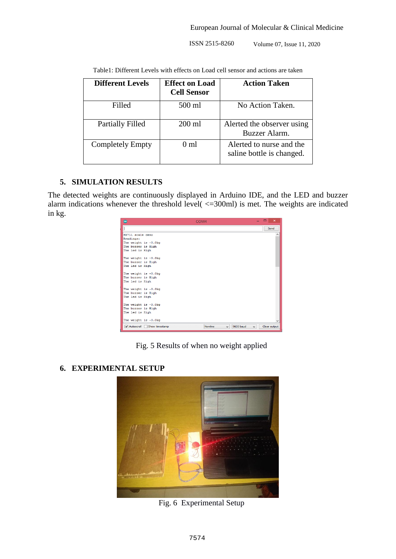| <b>Different Levels</b> | <b>Effect on Load</b><br><b>Cell Sensor</b> | <b>Action Taken</b>                                   |
|-------------------------|---------------------------------------------|-------------------------------------------------------|
| Filled                  | 500 ml                                      | No Action Taken.                                      |
| Partially Filled        | $200$ ml                                    | Alerted the observer using<br>Buzzer Alarm.           |
| <b>Completely Empty</b> | 0 <sub>m1</sub>                             | Alerted to nurse and the<br>saline bottle is changed. |

Table1: Different Levels with effects on Load cell sensor and actions are taken

# **5. SIMULATION RESULTS**

The detected weights are continuously displayed in Arduino IDE, and the LED and buzzer alarm indications whenever the threshold level( <=300ml) is met. The weights are indicated in kg.

| $\bullet$              |                           | COM <sub>4</sub> |                           |              | $\Box$ $\times$     |
|------------------------|---------------------------|------------------|---------------------------|--------------|---------------------|
|                        |                           |                  |                           |              | Send                |
| HX711 scale demo       |                           |                  |                           |              | $\hat{\phantom{1}}$ |
| Readings:              |                           |                  |                           |              |                     |
| The weight is -0.0kg   |                           |                  |                           |              |                     |
| The buzzer is High     |                           |                  |                           |              |                     |
| The led is High        |                           |                  |                           |              |                     |
|                        |                           |                  |                           |              |                     |
| The weight is -0.0kg   |                           |                  |                           |              |                     |
| The buzzer is High     |                           |                  |                           |              |                     |
| The led is High        |                           |                  |                           |              |                     |
|                        |                           |                  |                           |              |                     |
| The weight is -0.0kg   |                           |                  |                           |              |                     |
| The buzzer is High     |                           |                  |                           |              |                     |
| The led is High        |                           |                  |                           |              |                     |
|                        |                           |                  |                           |              |                     |
| The weight is $-0.0kq$ |                           |                  |                           |              |                     |
| The buzzer is High     |                           |                  |                           |              |                     |
| The led is High        |                           |                  |                           |              |                     |
|                        |                           |                  |                           |              |                     |
| The weight is $-0.0kq$ |                           |                  |                           |              |                     |
| The buzzer is High     |                           |                  |                           |              |                     |
| The led is High        |                           |                  |                           |              |                     |
|                        |                           |                  |                           |              |                     |
| The weight is $-0.0kq$ |                           |                  |                           |              |                     |
|                        | Autoscroll Show timestamp | Newline          | 9600 baud<br>$\checkmark$ | $\checkmark$ | Clear output        |

Fig. 5 Results of when no weight applied

# **6. EXPERIMENTAL SETUP**



Fig. 6 Experimental Setup